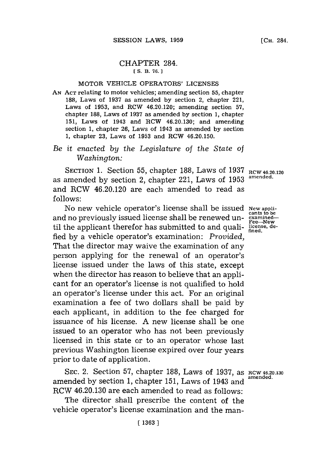## CHAPTER 284. **[ S. B. 76.1**

## MOTOR VEHICLE OPERATORS' **LICENSES**

**AN ACT** relating to motor vehicles; amending section **55,** chapter **188,** Laws of **1937** as amended **by** section 2, chapter 221, Laws of **1953,** and RCW 46.20.120; amending section **57,** chapter **188,** Laws of **1937** as amended **by** section **1,** chapter **151,** Laws of 1943 and RCW 46.20.130; and amending section **1,** chapter **26,** Laws of 1943 as amended **by** section **1,** chapter **23,** Laws of **1953** and RCW 46.20.150.

## *Be it enacted by the Legislature of the State of Washington:*

SECTION 1. Section 55, chapter 188, Laws of 1937 RCW 46.20.120 as amended by section 2, chapter 221, Laws of 1953 and RCW 46.20.120 are each amended to read as **follows:**

No new vehicle operator's license shall be issued **New appli-**<br>and no previously issued license shall be renewed un-<br>til the pplicant therefor hes submitted to and quali **ligens** de fied by a vehicle operator's examination: Provided, That the director may waive the examination of any person applying for the renewal of an operator's license issued under the laws of this state, except when the director has reason to believe that an applicant for an operator's license is not qualified to hold an operator's license under this act. For an original examination a fee of two dollars shall be paid **by** each applicant, in addition to the fee charged for issuance of his license. **A** new license shall be one issued to an operator who has not been previously licensed in this state or to an operator whose last previous Washington license expired over four years prior to date of application.

**SEC. 2. Section 57, chapter 188, Laws of 1937, as <b>RCW 46.20.130**<br>amended amended by section 1, chapter 151, Laws of 1943 and RCW 46.20.130 are each amended to read as follows:

The director shall prescribe the content of the vehicle operator's license examination and the man-

**fined.**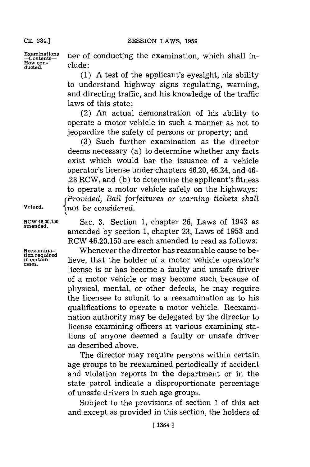**CH.** 284.]

How con-<br>ducted. **clude**:

**Examinations** ner of conducting the examination, which shall in-<br>  $\frac{\text{Constants}}{\text{How con}}$ 

**(1) A** test of the applicant's eyesight, his ability to understand highway signs regulating, warning, and directing traffic, and his knowledge of the traffic laws of this state;

(2) An actual demonstration of his ability to operate a motor vehicle in such a manner as not to jeopardize the safety of persons or property; and

**(3)** Such further examination as the director deems necessary (a) to determine whether any facts exist which would bar the issuance of a vehicle operator's license under chapters 46.20, 46.24, and 46- **.28** RCW, and **(b)** to determine the applicant's fitness to operate a motor vehicle safely on the highways: *rProvided, Bail forfeitures or warning tickets shall* **Vetoed.** tnot *be considered.*

Rcw **46.20.150** SEc. **3.** Section **1,** chapter **26,** Laws of 1943 as amended by section 1, chapter 23, Laws of 1953 and RCW 46.20.150 are each amended to read as follows:

**Reexamina-** Whenever the director has reasonable cause to be**the certain intertain in certain interval intertain intertain intertain intertain intertain intertain intertain**  $\frac{1}{n}$ license is or has become a faulty and unsafe driver of a motor vehicle or may become such because of physical, mental, or other defects, he may require the licensee to submit to a reexamination as to his qualifications to operate a motor vehicle. Reexamination authority may be delegated **by** the director to license examining officers at various examining stations of anyone deemed a faulty or unsafe driver as described above.

> The director may require persons within certain age groups to be reexamined periodically if accident and violation reports in the department or in the state patrol indicate a disproportionate percentage of unsafe drivers in such age groups.

> Subject to the provisions of section **1** of this act and except as provided in this section, the holders of